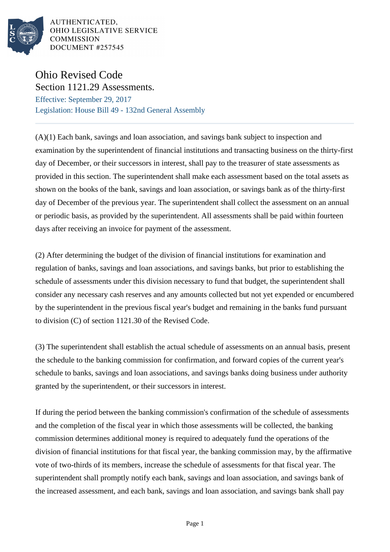

AUTHENTICATED, OHIO LEGISLATIVE SERVICE COMMISSION DOCUMENT #257545

## Ohio Revised Code Section 1121.29 Assessments.

Effective: September 29, 2017 Legislation: House Bill 49 - 132nd General Assembly

(A)(1) Each bank, savings and loan association, and savings bank subject to inspection and examination by the superintendent of financial institutions and transacting business on the thirty-first day of December, or their successors in interest, shall pay to the treasurer of state assessments as provided in this section. The superintendent shall make each assessment based on the total assets as shown on the books of the bank, savings and loan association, or savings bank as of the thirty-first day of December of the previous year. The superintendent shall collect the assessment on an annual or periodic basis, as provided by the superintendent. All assessments shall be paid within fourteen days after receiving an invoice for payment of the assessment.

(2) After determining the budget of the division of financial institutions for examination and regulation of banks, savings and loan associations, and savings banks, but prior to establishing the schedule of assessments under this division necessary to fund that budget, the superintendent shall consider any necessary cash reserves and any amounts collected but not yet expended or encumbered by the superintendent in the previous fiscal year's budget and remaining in the banks fund pursuant to division (C) of section 1121.30 of the Revised Code.

(3) The superintendent shall establish the actual schedule of assessments on an annual basis, present the schedule to the banking commission for confirmation, and forward copies of the current year's schedule to banks, savings and loan associations, and savings banks doing business under authority granted by the superintendent, or their successors in interest.

If during the period between the banking commission's confirmation of the schedule of assessments and the completion of the fiscal year in which those assessments will be collected, the banking commission determines additional money is required to adequately fund the operations of the division of financial institutions for that fiscal year, the banking commission may, by the affirmative vote of two-thirds of its members, increase the schedule of assessments for that fiscal year. The superintendent shall promptly notify each bank, savings and loan association, and savings bank of the increased assessment, and each bank, savings and loan association, and savings bank shall pay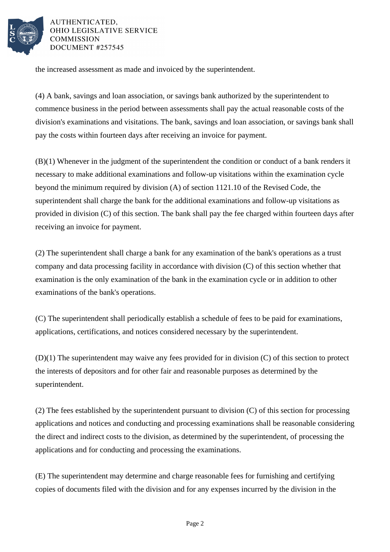

AUTHENTICATED. OHIO LEGISLATIVE SERVICE **COMMISSION** DOCUMENT #257545

the increased assessment as made and invoiced by the superintendent.

(4) A bank, savings and loan association, or savings bank authorized by the superintendent to commence business in the period between assessments shall pay the actual reasonable costs of the division's examinations and visitations. The bank, savings and loan association, or savings bank shall pay the costs within fourteen days after receiving an invoice for payment.

(B)(1) Whenever in the judgment of the superintendent the condition or conduct of a bank renders it necessary to make additional examinations and follow-up visitations within the examination cycle beyond the minimum required by division (A) of section 1121.10 of the Revised Code, the superintendent shall charge the bank for the additional examinations and follow-up visitations as provided in division (C) of this section. The bank shall pay the fee charged within fourteen days after receiving an invoice for payment.

(2) The superintendent shall charge a bank for any examination of the bank's operations as a trust company and data processing facility in accordance with division (C) of this section whether that examination is the only examination of the bank in the examination cycle or in addition to other examinations of the bank's operations.

(C) The superintendent shall periodically establish a schedule of fees to be paid for examinations, applications, certifications, and notices considered necessary by the superintendent.

(D)(1) The superintendent may waive any fees provided for in division (C) of this section to protect the interests of depositors and for other fair and reasonable purposes as determined by the superintendent.

(2) The fees established by the superintendent pursuant to division (C) of this section for processing applications and notices and conducting and processing examinations shall be reasonable considering the direct and indirect costs to the division, as determined by the superintendent, of processing the applications and for conducting and processing the examinations.

(E) The superintendent may determine and charge reasonable fees for furnishing and certifying copies of documents filed with the division and for any expenses incurred by the division in the